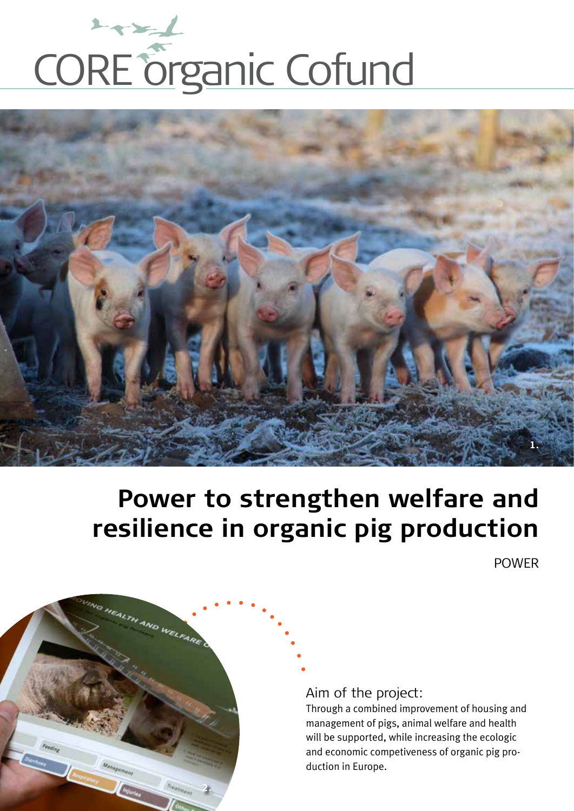



# **Power to strengthen welfare and resilience in organic pig production**

POWER



Aim of the project:

Through a combined improvement of housing and management of pigs, animal welfare and health will be supported, while increasing the ecologic and economic competiveness of organic pig production in Europe.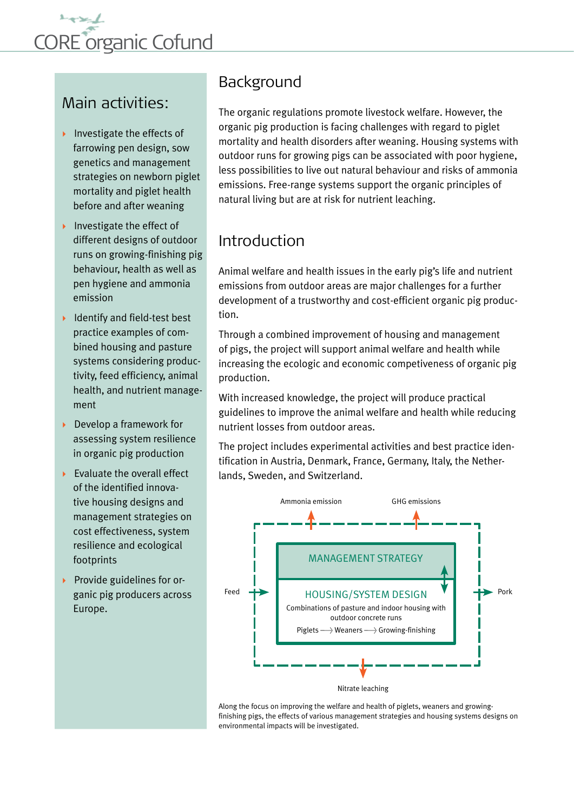

#### Main activities:

- Investigate the effects of farrowing pen design, sow genetics and management strategies on newborn piglet mortality and piglet health before and after weaning
- Investigate the effect of different designs of outdoor runs on growing-finishing pig behaviour, health as well as pen hygiene and ammonia emission
- $\blacktriangleright$  Identify and field-test best practice examples of combined housing and pasture systems considering productivity, feed efficiency, animal health, and nutrient management
- ▶ Develop a framework for assessing system resilience in organic pig production
- $\blacktriangleright$  Evaluate the overall effect of the identified innovative housing designs and management strategies on cost effectiveness, system resilience and ecological footprints
- $\triangleright$  Provide guidelines for organic pig producers across Europe.

#### Background

The organic regulations promote livestock welfare. However, the organic pig production is facing challenges with regard to piglet mortality and health disorders after weaning. Housing systems with outdoor runs for growing pigs can be associated with poor hygiene, less possibilities to live out natural behaviour and risks of ammonia emissions. Free-range systems support the organic principles of natural living but are at risk for nutrient leaching.

### Introduction

Animal welfare and health issues in the early pig's life and nutrient emissions from outdoor areas are major challenges for a further development of a trustworthy and cost-efficient organic pig production.

Through a combined improvement of housing and management of pigs, the project will support animal welfare and health while increasing the ecologic and economic competiveness of organic pig production.

With increased knowledge, the project will produce practical guidelines to improve the animal welfare and health while reducing nutrient losses from outdoor areas.

The project includes experimental activities and best practice identification in Austria, Denmark, France, Germany, Italy, the Netherlands, Sweden, and Switzerland.



Along the focus on improving the welfare and health of piglets, weaners and growingfinishing pigs, the effects of various management strategies and housing systems designs on environmental impacts will be investigated.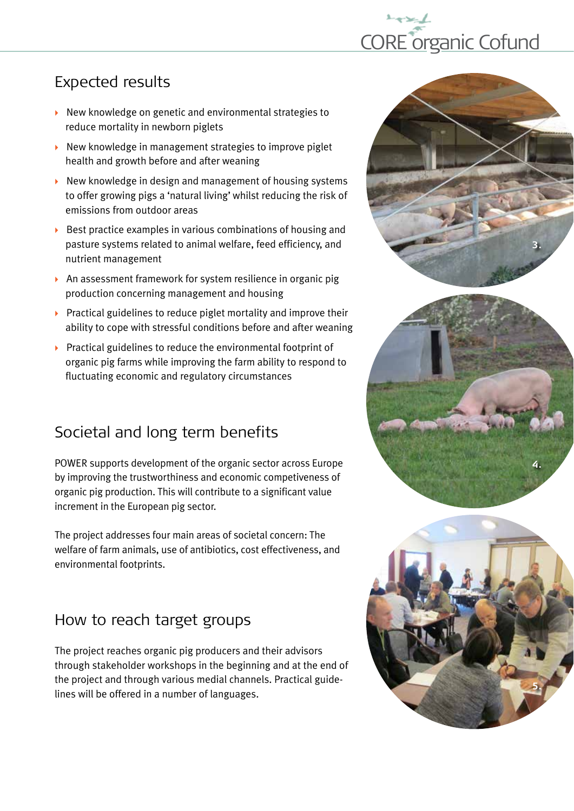

## Expected results

- $\triangleright$  New knowledge on genetic and environmental strategies to reduce mortality in newborn piglets
- $\triangleright$  New knowledge in management strategies to improve piglet health and growth before and after weaning
- $\triangleright$  New knowledge in design and management of housing systems to offer growing pigs a 'natural living' whilst reducing the risk of emissions from outdoor areas
- $\triangleright$  Best practice examples in various combinations of housing and pasture systems related to animal welfare, feed efficiency, and nutrient management
- An assessment framework for system resilience in organic pig production concerning management and housing
- $\triangleright$  Practical guidelines to reduce piglet mortality and improve their ability to cope with stressful conditions before and after weaning
- $\triangleright$  Practical guidelines to reduce the environmental footprint of organic pig farms while improving the farm ability to respond to fluctuating economic and regulatory circumstances

## Societal and long term benefits

POWER supports development of the organic sector across Europe by improving the trustworthiness and economic competiveness of organic pig production. This will contribute to a significant value increment in the European pig sector.

The project addresses four main areas of societal concern: The welfare of farm animals, use of antibiotics, cost effectiveness, and environmental footprints.

#### How to reach target groups

The project reaches organic pig producers and their advisors through stakeholder workshops in the beginning and at the end of the project and through various medial channels. Practical guidelines will be offered in a number of languages.